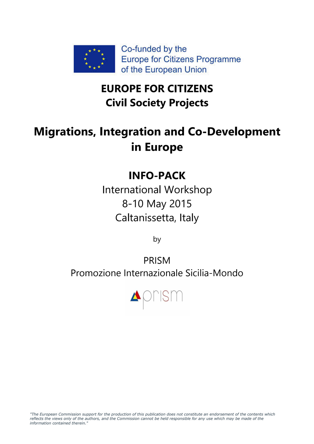

## **EUROPE FOR CITIZENS Civil Society Projects**

# **Migrations, Integration and Co-Development in Europe**

## **INFO-PACK**

International Workshop 8-10 May 2015 Caltanissetta, Italy

by

PRISM Promozione Internazionale Sicilia-Mondo

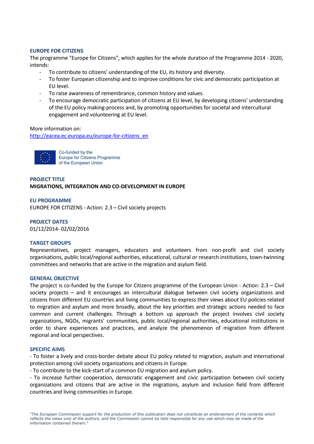## **EUROPE FOR CITIZENS**

The programme "Europe for Citizens", which applies for the whole duration of the Programme 2014 - 2020, intends:

- To contribute to citizens' understanding of the EU, its history and diversity.
- To foster European citizenship and to improve conditions for civic and democratic participation at EU level.
- To raise awareness of remembrance, common history and values.
- To encourage democratic participation of citizens at EU level, by developing citizens' understanding of the EU policy making-process and, by promoting opportunities for societal and intercultural engagement and volunteering at EU level.

#### More information on:

http://eacea.ec.europa.eu/europe-for-citizens\_en



Co-funded by the Europe for Citizens Programme of the European Union

## **PROJECT TITLE MIGRATIONS, INTEGRATION AND CO-DEVELOPMENT IN EUROPE**

#### **EU PROGRAMME**

EUROPE FOR CITIZENS - Action: 2.3 – Civil society projects

**PROJECT DATES** 01/12/2014- 02/02/2016

#### **TARGET GROUPS**

Representatives, project managers, educators and volunteers from non-profit and civil society organisations, public local/regional authorities, educational, cultural or research institutions, town-twinning committees and networks that are active in the migration and asylum field.

#### **GENERAL OBJECTIVE**

The project is co-funded by the Europe for Citizens programme of the European Union - Action: 2.3 – Civil society projects – and it encourages an intercultural dialogue between civil society organizations and citizens from different EU countries and living communities to express their views about EU policies related to migration and asylum and more broadly, about the key priorities and strategic actions needed to face common and current challenges. Through a bottom up approach the project involves civil society organizations, NGOs, migrants' communities, public local/regional authorities, educational institutions in order to share experiences and practices, and analyze the phenomenon of migration from different regional and local perspectives.

#### **SPECIFIC AIMS**

- To foster a lively and cross-border debate about EU policy related to migration, asylum and international protection among civil society organizations and citizens in Europe.

- To contribute to the kick-start of a common EU migration and asylum policy.

- To increase further cooperation, democratic engagement and civic participation between civil society organizations and citizens that are active in the migrations, asylum and inclusion field from different countries and living communities in Europe.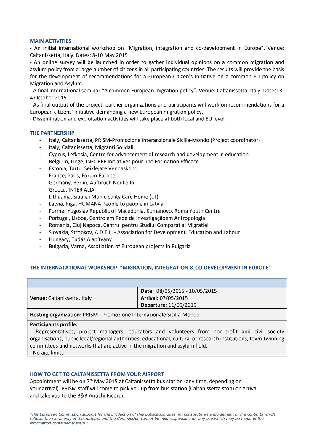#### **MAIN ACTIVITIES**

- An initial international workshop on "Migration, integration and co-development in Europe", Venue: Caltanissetta, Italy. Dates: 8-10 May 2015

- An online survey will be launched in order to gather individual opinions on a common migration and asylum policy from a large number of citizens in all participating countries. The results will provide the basis for the development of recommendations for a European Citizen's Initiative on a common EU policy on Migration and Asylum.

- A final international seminar "A common European migration policy". Venue: Caltanissetta, Italy. Dates: 3- 4 October 2015

- As final output of the project, partner organizations and participants will work on recommendations for a European citizens' initiative demanding a new European migration policy.

- Dissemination and exploitation activities will take place at both local and EU level.

## **THE PARTNERSHIP**

- Italy, Caltanissetta, PRISM-Promozione Interanzionale Sicilia-Mondo (Project coordinator)
- Italy, Caltanissetta, Migranti Solidali
- Cyprus, Lefkosia, Centre for advancement of research and development in education
- Belgium, Liege, INFOREF Initiatives pour une Formation Efficace
- Estonia, Tartu, Seiklejate Vennaskond
- France, Paris, Forum Europe
- Germany, Berlin, Aufbruch Neukölln
- Greece, INTER ALIA
- Lithuania, Siauliai Municipality Care Home (LT)
- Latvia, Riga, HUMANA People to people in Latvia
- Former Yugoslav Republic of Macedonia, Kumanovo, Roma Youth Centre
- Portugal, Lisboa, Centro em Rede de Investigaçãoem Antropologia
- Romania, Cluj Napoca, Centrul pentru Studiul Comparat al Migratiei
- Slovakia, Stropkov, A.D.E.L. Association for Development, Education and Labour
- Hungary, Tudás Alapítvány
- Bulgaria, Varna, Assotiation of European projects in Bulgaria

#### **THE INTERNATATIONAL WORKSHOP: "MIGRATION, INTEGRATION & CO-DEVELOPMENT IN EUROPE"**

|                             | Date: 08/05/2015 - 10/05/2015 |  |
|-----------------------------|-------------------------------|--|
| Venue: Caltanissetta, Italy | Arrival: 07/05/2015           |  |
|                             | Departure: 11/05/2015         |  |
|                             |                               |  |

**Hosting organization:** PRISM - Promozione Internazionale Sicilia-Mondo

#### **Participants profile:**

- Representatives, project managers, educators and volunteers from non-profit and civil society organisations, public local/regional authorities, educational, cultural or research institutions, town-twinning committees and networks that are active in the migration and asylum field. - No age limits

#### **HOW TO GET TO CALTANISSETTA FROM YOUR AIRPORT**

Appointment will be on 7th May 2015 at Caltanissetta bus station (any time, depending on your arrival). PRISM staff will come to pick you up from bus station (Caltanissetta stop) on arrival and take you to the B&B Antichi Ricordi.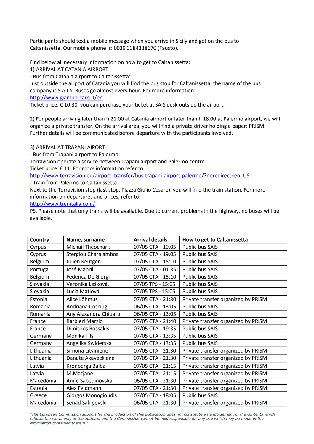Participants should text a mobile message when you arrive in Sicily and get on the bus to Caltanissetta. Our mobile phone is: 0039 3384338670 (Fausto).

Find below all necessary information on how to get to Caltanissetta:

1) ARRIVAL AT CATANIA AIRPORT

- Bus from Catania airport to Caltanissetta:

Just outside the airport of Catania you will find the bus stop for Caltanissetta, the name of the bus company is S.A.I.S. Buses go almost every hour. For more information:

http://www.giamporcaro.it/en

Ticket price: € 10.30, you can purchase your ticket at SAIS desk outside the airport.

2) For people arriving later than h 21.00 at Catania airport or later than h 18.00 at Palermo airport, we will organize a private transfer. On the arrival area, you will find a private driver holding a paper: PRISM. Further details will be communicated before departure with the participants involved.

3) ARRIVAL AT TRAPANI AIPORT

- Bus from Trapani airport to Palermo:

Terravision operate a service between Trapani airport and Palermo centre.

Ticket price:  $\epsilon$  11. For more information refer to:

http://www.terravision.eu/airport\_transfer/bus-trapani-airport-palermo/?noredirect=en\_US

- Train from Palermo to Caltanissetta

Next to the Terravision stop (last stop, Piazza Giulio Cesare), you will find the train station. For more information on departures and prices, refer to:

http://www.trenitalia.com/

PS. Please note that only trains will be available. Due to current problems in the highway, no buses will be available.

|           |                             | <b>Arrival details</b> |                                     |  |  |
|-----------|-----------------------------|------------------------|-------------------------------------|--|--|
| Country   | Name, surname               |                        | How to get to Caltanissetta         |  |  |
| Cyrpus    | <b>Michail Theocharis</b>   | 07/05 CTA - 19.05      | Public bus SAIS                     |  |  |
| Cyprus    | <b>Stergiou Charalambos</b> | 07/05 CTA - 19.05      | Public bus SAIS                     |  |  |
| Belgium   | Julien Keutgen              | 07/05 CTA - 15:10      | Public bus SAIS                     |  |  |
| Portugal  | José Mapril                 | 07/05 CTA - 01.35      | Public bus SAIS                     |  |  |
| Belgium   | Federica De Giorgi          | 07/05 CTA - 15:10      | Public bus SAIS                     |  |  |
| Slovakia  | Veronika Lešková,           | 07/05 TPS - 15:05      | Public bus SAIS                     |  |  |
| Slovakia  | Lucia Matlová               | 07/05 TPS - 15:05      | Public bus SAIS                     |  |  |
| Estonia   | Alice Lõhmus                | 07/05 CTA - 21:30      | Private transfer organized by PRISM |  |  |
| Romania   | Andriana Cosciug            | 06/05 CTA - 13:05      | Public bus SAIS                     |  |  |
| Romania   | Any Alexandra Chiuaru       | 06/05 CTA - 13:05      | Public bus SAIS                     |  |  |
| France    | Barbieri Marzio             | 07/05 CTA - 21:40      | Private transfer organized by PRISM |  |  |
| France    | <b>Dimitrios Rossakis</b>   | 07/05 CTA - 19:35      | Public bus SAIS                     |  |  |
| Germany   | Monika Tils                 | 07/05 CTA - 13:35      | Public bus SAIS                     |  |  |
| Germany   | Angelika Swiderska          | 07/05 CTA - 13:35      | Public bus SAIS                     |  |  |
| Lithuania | Simona Litviniene           | 07/05 CTA - 21.30      | Private transfer organized by PRISM |  |  |
| Lithuania | Danute Akaveckiene          | 07/05 CTA - 21.30      | Private transfer organized by PRISM |  |  |
| Latvia    | Kronberga Baiba             | 07/05 CTA - 21:15      | Private transfer organized by PRISM |  |  |
| Latvia    | M.Mazjane                   | 07/05 CTA - 21:15      | Private transfer organized by PRISM |  |  |
| Macedonia | Anife Sabedinovska          | 06/05 CTA - 21:30      | Private transfer organized by PRISM |  |  |
| Estonia   | Alex Feldmann               | 07/05 CTA - 21:30      | Private transfer organized by PRISM |  |  |
| Greece    | <b>Giorgos Monogioudis</b>  | 07/05 CTA - 18:05      | Public bus SAIS                     |  |  |
| Macedonia | Senad Sakipovski            | 06/05 CTA - 21:30      | Private transfer organized by PRISM |  |  |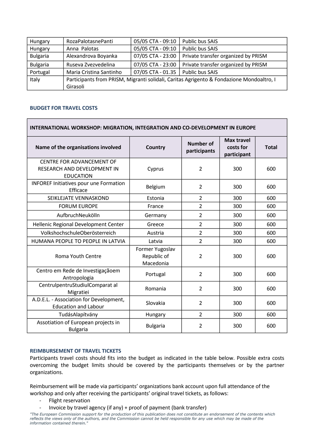| Hungary         | RozaPalotasnePanti                                                                       | 05/05 CTA - 09:10 | Public bus SAIS                     |  |  |
|-----------------|------------------------------------------------------------------------------------------|-------------------|-------------------------------------|--|--|
| Hungary         | Anna Palotas                                                                             | 05/05 CTA - 09:10 | Public bus SAIS                     |  |  |
| <b>Bulgaria</b> | Alexandrova Boyanka                                                                      | 07/05 CTA - 23:00 | Private transfer organized by PRISM |  |  |
| <b>Bulgaria</b> | Ruseva Zvezvedelina                                                                      | 07/05 CTA - 23:00 | Private transfer organized by PRISM |  |  |
| Portugal        | Maria Cristina Santinho                                                                  | 07/05 CTA - 01.35 | Public bus SAIS                     |  |  |
| Italy           | Participants from PRISM, Migranti solidali, Caritas Agrigento & Fondazione Mondoaltro, I |                   |                                     |  |  |
|                 | Girasoli                                                                                 |                   |                                     |  |  |

## **BUDGET FOR TRAVEL COSTS**

| <b>INTERNATIONAL WORKSHOP: MIGRATION, INTEGRATION AND CO-DEVELOPMENT IN EUROPE</b>  |                                             |                                  |                                               |              |  |  |  |
|-------------------------------------------------------------------------------------|---------------------------------------------|----------------------------------|-----------------------------------------------|--------------|--|--|--|
| Name of the organisations involved                                                  | Country                                     | <b>Number of</b><br>participants | <b>Max travel</b><br>costs for<br>participant | <b>Total</b> |  |  |  |
| CENTRE FOR ADVANCEMENT OF<br><b>RESEARCH AND DEVELOPMENT IN</b><br><b>EDUCATION</b> | Cyprus                                      | $\overline{2}$                   | 300                                           | 600          |  |  |  |
| <b>INFOREF Initiatives pour une Formation</b><br>Efficace                           | Belgium                                     | $\overline{2}$                   | 300                                           | 600          |  |  |  |
| SEIKLEJATE VENNASKOND                                                               | Estonia                                     | $\overline{2}$                   | 300                                           | 600          |  |  |  |
| <b>FORUM EUROPE</b>                                                                 | France                                      | $\overline{2}$                   | 300                                           | 600          |  |  |  |
| AufbruchNeukölln                                                                    | Germany                                     | $\overline{2}$                   | 300                                           | 600          |  |  |  |
| Hellenic Regional Development Center                                                | Greece                                      | $\overline{2}$                   | 300                                           | 600          |  |  |  |
| VolkshochschuleOberösterreich                                                       | Austria                                     | $\overline{2}$                   | 300                                           | 600          |  |  |  |
| HUMANA PEOPLE TO PEOPLE IN LATVIA                                                   | Latvia                                      | $\overline{2}$                   | 300                                           | 600          |  |  |  |
| <b>Roma Youth Centre</b>                                                            | Former Yugoslav<br>Republic of<br>Macedonia | $\overline{2}$                   | 300                                           | 600          |  |  |  |
| Centro em Rede de Investigaçãoem<br>Antropologia                                    | Portugal                                    | $\overline{2}$                   | 300                                           | 600          |  |  |  |
| CentrulpentruStudiulComparat al<br>Migratiei                                        | Romania                                     | $\overline{2}$                   | 300                                           | 600          |  |  |  |
| A.D.E.L. - Association for Development,<br><b>Education and Labour</b>              | Slovakia                                    | $\overline{2}$                   | 300                                           | 600          |  |  |  |
| TudásAlapítvány                                                                     | Hungary                                     | $\overline{2}$                   | 300                                           | 600          |  |  |  |
| Assotiation of European projects in<br><b>Bulgaria</b>                              | <b>Bulgaria</b>                             | $\overline{2}$                   | 300                                           | 600          |  |  |  |

## **REIMBURSEMENT OF TRAVEL TICKETS**

Participants travel costs should fits into the budget as indicated in the table below. Possible extra costs overcoming the budget limits should be covered by the participants themselves or by the partner organizations.

Reimbursement will be made via participants' organizations bank account upon full attendance of the workshop and only after receiving the participants' original travel tickets, as follows:

- Flight reservation
- Invoice by travel agency (if any) + proof of payment (bank transfer)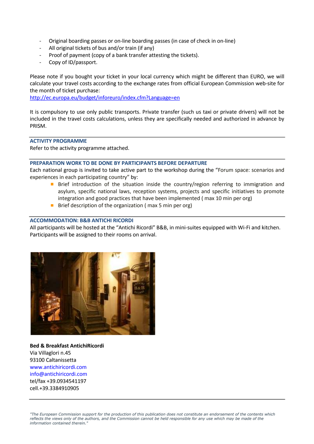- Original boarding passes or on-line boarding passes (in case of check in on-line)
- All original tickets of bus and/or train (if any)
- Proof of payment (copy of a bank transfer attesting the tickets).
- Copy of ID/passport.

Please note if you bought your ticket in your local currency which might be different than EURO, we will calculate your travel costs according to the exchange rates from official European Commission web-site for the month of ticket purchase:

http://ec.europa.eu/budget/inforeuro/index.cfm?Language=en

It is compulsory to use only public transports. Private transfer (such us taxi or private drivers) will not be included in the travel costs calculations, unless they are specifically needed and authorized in advance by PRISM.

## **ACTIVITY PROGRAMME**

Refer to the activity programme attached.

## **PREPARATION WORK TO BE DONE BY PARTICIPANTS BEFORE DEPARTURE**

Each national group is invited to take active part to the workshop during the "Forum space: scenarios and experiences in each participating country" by:

- **B** Brief introduction of the situation inside the country/region referring to immigration and asylum, specific national laws, reception systems, projects and specific initiatives to promote integration and good practices that have been implemented ( max 10 min per org)
- Brief description of the organization ( max 5 min per org)  $\mathbb{R}^2$

## **ACCOMMODATION: B&B ANTICHI RICORDI**

All participants will be hosted at the "Antichi Ricordi" B&B, in mini-suites equipped with Wi-Fi and kitchen. Participants will be assigned to their rooms on arrival.



**Bed & Breakfast AntichiRicordi**  Via Villaglori n.45 93100 Caltanissetta www.antichiricordi.com info@antichiricordi.com tel/fax +39.0934541197 cell.+39.3384910905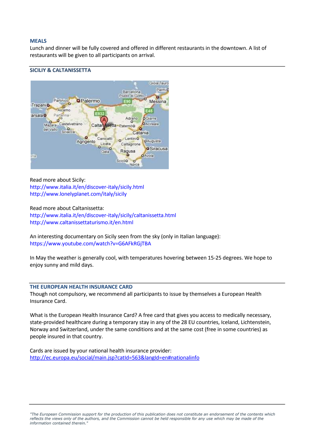## **MEALS**

Lunch and dinner will be fully covered and offered in different restaurants in the downtown. A list of restaurants will be given to all participants on arrival.

## **SICILIY & CALTANISSETTA**



Read more about Sicily: http://www.italia.it/en/discover-italy/sicily.html

http://www.lonelyplanet.com/italy/sicily

Read more about Caltanissetta:

http://www.italia.it/en/discover-italy/sicily/caltanissetta.html http://www.caltanissettaturismo.it/en.html

An interesting documentary on Sicily seen from the sky (only in Italian language): https://www.youtube.com/watch?v=G6AFkRGjTBA

In May the weather is generally cool, with temperatures hovering between 15-25 degrees. We hope to enjoy sunny and mild days.

## **THE EUROPEAN HEALTH INSURANCE CARD**

Though not compulsory, we recommend all participants to issue by themselves a European Health Insurance Card.

What is the European Health Insurance Card? A free card that gives you access to medically necessary, state-provided healthcare during a temporary stay in any of the 28 EU countries, Iceland, Lichtenstein, Norway and Switzerland, under the same conditions and at the same cost (free in some countries) as people insured in that country.

Cards are issued by your national health insurance provider: http://ec.europa.eu/social/main.jsp?catId=563&langId=en#nationalinfo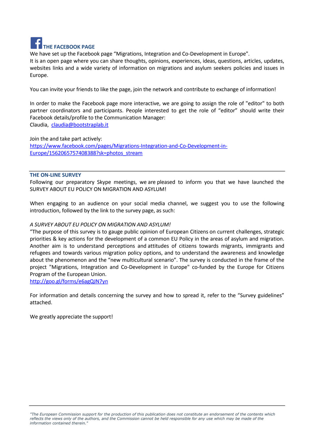

We have set up the Facebook page "Migrations, Integration and Co-Development in Europe". It is an open page where you can share thoughts, opinions, experiences, ideas, questions, articles, updates, websites links and a wide variety of information on migrations and asylum seekers policies and issues in Europe.

You can invite your friends to like the page, join the network and contribute to exchange of information!

In order to make the Facebook page more interactive, we are going to assign the role of "editor" to both partner coordinators and participants. People interested to get the role of "editor" should write their Facebook details/profile to the Communication Manager:

Claudia, claudia@bootstraplab.it

Join the and take part actively: https://www.facebook.com/pages/Migrations-Integration-and-Co-Development-in-Europe/1562065757408388?sk=photos\_stream

## **THE ON-LINE SURVEY**

Following our preparatory Skype meetings, we are pleased to inform you that we have launched the SURVEY ABOUT EU POLICY ON MIGRATION AND ASYLUM!

When engaging to an audience on your social media channel, we suggest you to use the following introduction, followed by the link to the survey page, as such:

## *A SURVEY ABOUT EU POLICY ON MIGRATION AND ASYLUM!*

"The purpose of this survey is to gauge public opinion of European Citizens on current challenges, strategic priorities & key actions for the development of a common EU Policy in the areas of asylum and migration. Another aim is to understand perceptions and attitudes of citizens towards migrants, immigrants and refugees and towards various migration policy options, and to understand the awareness and knowledge about the phenomenon and the "new multicultural scenario". The survey is conducted in the frame of the project "Migrations, Integration and Co-Development in Europe" co-funded by the Europe for Citizens Program of the European Union.

http://goo.gl/forms/e6agQJN7yn

For information and details concerning the survey and how to spread it, refer to the "Survey guidelines" attached.

We greatly appreciate the support!